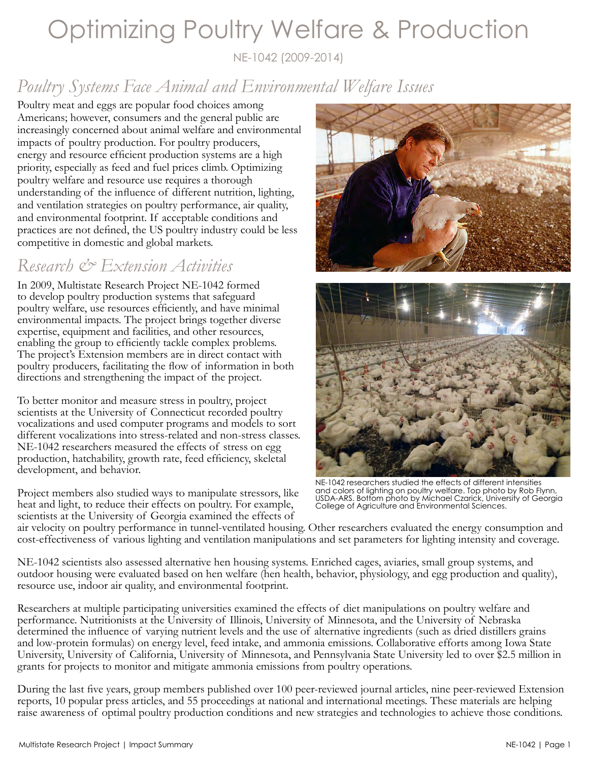# Optimizing Poultry Welfare & Production

NE-1042 (2009-2014)

# *Poultry Systems Face Animal and Environmental Welfare Issues*

Poultry meat and eggs are popular food choices among Americans; however, consumers and the general public are increasingly concerned about animal welfare and environmental impacts of poultry production. For poultry producers, energy and resource efficient production systems are a high priority, especially as feed and fuel prices climb. Optimizing poultry welfare and resource use requires a thorough understanding of the influence of different nutrition, lighting, and ventilation strategies on poultry performance, air quality, and environmental footprint. If acceptable conditions and practices are not defined, the US poultry industry could be less competitive in domestic and global markets.

### *Research & Extension Activities*

In 2009, Multistate Research Project NE-1042 formed to develop poultry production systems that safeguard poultry welfare, use resources efficiently, and have minimal environmental impacts. The project brings together diverse expertise, equipment and facilities, and other resources, enabling the group to efficiently tackle complex problems. The project's Extension members are in direct contact with poultry producers, facilitating the flow of information in both directions and strengthening the impact of the project.

To better monitor and measure stress in poultry, project scientists at the University of Connecticut recorded poultry vocalizations and used computer programs and models to sort different vocalizations into stress-related and non-stress classes. NE-1042 researchers measured the effects of stress on egg production, hatchability, growth rate, feed efficiency, skeletal development, and behavior.

Project members also studied ways to manipulate stressors, like heat and light, to reduce their effects on poultry. For example, scientists at the University of Georgia examined the effects of





NE-1042 researchers studied the effects of different intensities and colors of lighting on poultry welfare. Top photo by Rob Flynn, USDA-ARS. Bottom photo by Michael Czarick, University of Georgia College of Agriculture and Environmental Sciences.

air velocity on poultry performance in tunnel-ventilated housing. Other researchers evaluated the energy consumption and cost-effectiveness of various lighting and ventilation manipulations and set parameters for lighting intensity and coverage.

NE-1042 scientists also assessed alternative hen housing systems. Enriched cages, aviaries, small group systems, and outdoor housing were evaluated based on hen welfare (hen health, behavior, physiology, and egg production and quality), resource use, indoor air quality, and environmental footprint.

Researchers at multiple participating universities examined the effects of diet manipulations on poultry welfare and performance. Nutritionists at the University of Illinois, University of Minnesota, and the University of Nebraska determined the influence of varying nutrient levels and the use of alternative ingredients (such as dried distillers grains and low-protein formulas) on energy level, feed intake, and ammonia emissions. Collaborative efforts among Iowa State University, University of California, University of Minnesota, and Pennsylvania State University led to over \$2.5 million in grants for projects to monitor and mitigate ammonia emissions from poultry operations.

During the last five years, group members published over 100 peer-reviewed journal articles, nine peer-reviewed Extension reports, 10 popular press articles, and 55 proceedings at national and international meetings. These materials are helping raise awareness of optimal poultry production conditions and new strategies and technologies to achieve those conditions.